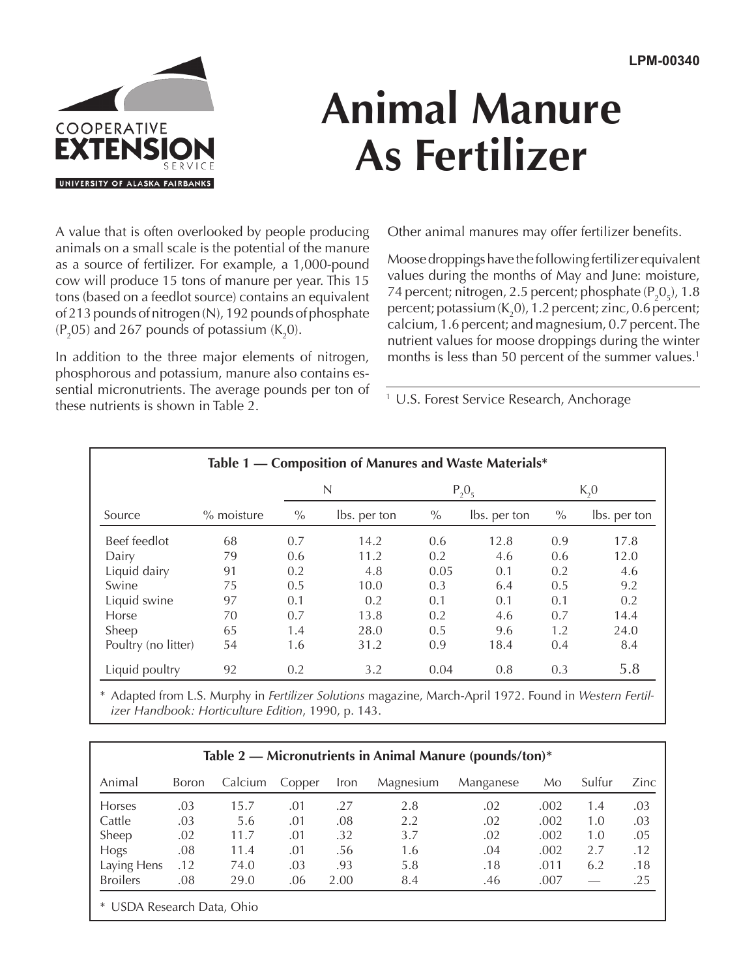

## **Animal Manure As Fertilizer**

A value that is often overlooked by people producing animals on a small scale is the potential of the manure as a source of fertilizer. For example, a 1,000-pound cow will produce 15 tons of manure per year. This 15 tons (based on a feedlot source) contains an equivalent of 213 pounds of nitrogen (N), 192 pounds of phosphate  $(P_2O5)$  and 267 pounds of potassium (K<sub>2</sub>0).

In addition to the three major elements of nitrogen, phosphorous and potassium, manure also contains essential micronutrients. The average pounds per ton of these nutrients is shown in Table 2.

Other animal manures may offer fertilizer benefits.

Moose droppings have the following fertilizer equivalent values during the months of May and June: moisture, 74 percent; nitrogen, 2.5 percent; phosphate  $(P_2O_5)$ , 1.8 percent; potassium (K<sub>2</sub>0), 1.2 percent; zinc, 0.6 percent; calcium, 1.6 percent; and magnesium, 0.7 percent. The nutrient values for moose droppings during the winter months is less than 50 percent of the summer values.<sup>1</sup>

<sup>1</sup> U.S. Forest Service Research, Anchorage

| Table 1 — Composition of Manures and Waste Materials* |              |      |              |              |              |          |              |
|-------------------------------------------------------|--------------|------|--------------|--------------|--------------|----------|--------------|
|                                                       |              | N    |              | $P_{2}O_{5}$ |              | $K_{2}0$ |              |
| Source                                                | $%$ moisture | $\%$ | lbs. per ton | $\%$         | lbs. per ton | $\%$     | lbs. per ton |
| Beef feedlot                                          | 68           | 0.7  | 14.2         | 0.6          | 12.8         | 0.9      | 17.8         |
| Dairy                                                 | 79           | 0.6  | 11.2         | 0.2          | 4.6          | 0.6      | 12.0         |
| Liquid dairy                                          | 91           | 0.2  | 4.8          | 0.05         | 0.1          | 0.2      | 4.6          |
| Swine                                                 | 75           | 0.5  | 10.0         | 0.3          | 6.4          | 0.5      | 9.2          |
| Liquid swine                                          | 97           | 0.1  | 0.2          | 0.1          | 0.1          | 0.1      | 0.2          |
| Horse                                                 | 70           | 0.7  | 13.8         | 0.2          | 4.6          | 0.7      | 14.4         |
| Sheep                                                 | 65           | 1.4  | 28.0         | 0.5          | 9.6          | 1.2      | 24.0         |
| Poultry (no litter)                                   | 54           | 1.6  | 31.2         | 0.9          | 18.4         | 0.4      | 8.4          |
| Liquid poultry                                        | 92           | 0.2  | 3.2          | 0.04         | 0.8          | 0.3      | 5.8          |

\* Adapted from L.S. Murphy in *Fertilizer Solutions* magazine, March-April 1972. Found in *Western Fertilizer Handbook: Horticulture Edition*, 1990, p. 143.

| Table 2 — Micronutrients in Animal Manure (pounds/ton)* |              |         |        |      |           |           |      |        |      |
|---------------------------------------------------------|--------------|---------|--------|------|-----------|-----------|------|--------|------|
| Animal                                                  | <b>Boron</b> | Calcium | Copper | Iron | Magnesium | Manganese | Mo   | Sulfur | Zinc |
| <b>Horses</b>                                           | .03          | 15.7    | .01    | .27  | 2.8       | .02       | .002 | 1.4    | .03  |
| Cattle                                                  | .03          | 5.6     | .01    | .08  | 2.2       | .02       | .002 | 1.0    | .03  |
| Sheep                                                   | .02          | 11.7    | .01    | .32  | 3.7       | .02       | .002 | 1.0    | .05  |
| Hogs                                                    | .08          | 11.4    | .01    | .56  | 1.6       | .04       | .002 | 2.7    | .12  |
| Laying Hens                                             | .12          | 74.0    | .03    | .93  | 5.8       | .18       | .011 | 6.2    | .18  |
| <b>Broilers</b>                                         | .08          | 29.0    | .06    | 2.00 | 8.4       | .46       | .007 |        | .25  |
| * USDA Research Data, Ohio                              |              |         |        |      |           |           |      |        |      |